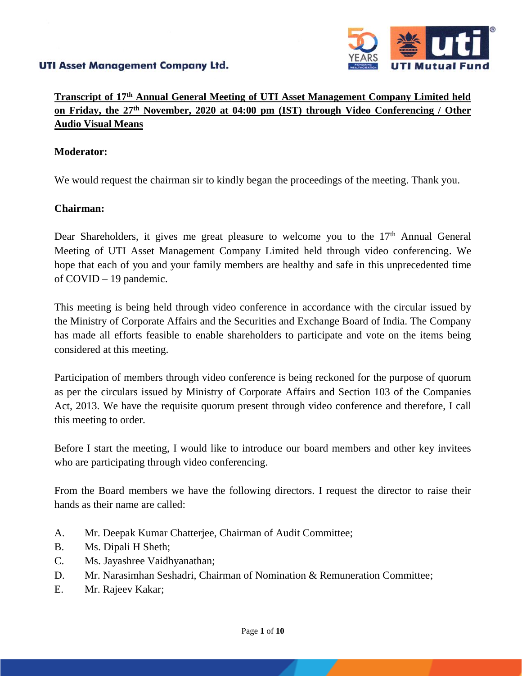

## **Transcript of 17th Annual General Meeting of UTI Asset Management Company Limited held on Friday, the 27th November, 2020 at 04:00 pm (IST) through Video Conferencing / Other Audio Visual Means**

## **Moderator:**

We would request the chairman sir to kindly began the proceedings of the meeting. Thank you.

## **Chairman:**

Dear Shareholders, it gives me great pleasure to welcome you to the  $17<sup>th</sup>$  Annual General Meeting of UTI Asset Management Company Limited held through video conferencing. We hope that each of you and your family members are healthy and safe in this unprecedented time of COVID – 19 pandemic.

This meeting is being held through video conference in accordance with the circular issued by the Ministry of Corporate Affairs and the Securities and Exchange Board of India. The Company has made all efforts feasible to enable shareholders to participate and vote on the items being considered at this meeting.

Participation of members through video conference is being reckoned for the purpose of quorum as per the circulars issued by Ministry of Corporate Affairs and Section 103 of the Companies Act, 2013. We have the requisite quorum present through video conference and therefore, I call this meeting to order.

Before I start the meeting, I would like to introduce our board members and other key invitees who are participating through video conferencing.

From the Board members we have the following directors. I request the director to raise their hands as their name are called:

- A. Mr. Deepak Kumar Chatterjee, Chairman of Audit Committee;
- B. Ms. Dipali H Sheth;
- C. Ms. Jayashree Vaidhyanathan;
- D. Mr. Narasimhan Seshadri, Chairman of Nomination & Remuneration Committee;
- E. Mr. Rajeev Kakar;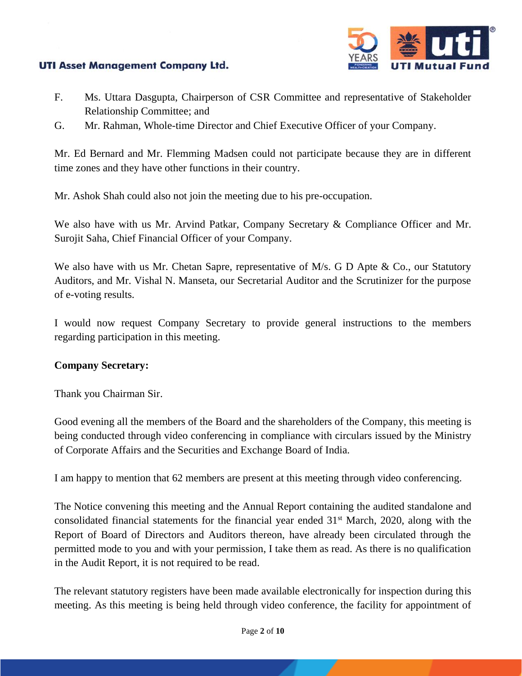

- F. Ms. Uttara Dasgupta, Chairperson of CSR Committee and representative of Stakeholder Relationship Committee; and
- G. Mr. Rahman, Whole-time Director and Chief Executive Officer of your Company.

Mr. Ed Bernard and Mr. Flemming Madsen could not participate because they are in different time zones and they have other functions in their country.

Mr. Ashok Shah could also not join the meeting due to his pre-occupation.

We also have with us Mr. Arvind Patkar, Company Secretary & Compliance Officer and Mr. Surojit Saha, Chief Financial Officer of your Company.

We also have with us Mr. Chetan Sapre, representative of M/s. G D Apte & Co., our Statutory Auditors, and Mr. Vishal N. Manseta, our Secretarial Auditor and the Scrutinizer for the purpose of e-voting results.

I would now request Company Secretary to provide general instructions to the members regarding participation in this meeting.

## **Company Secretary:**

Thank you Chairman Sir.

Good evening all the members of the Board and the shareholders of the Company, this meeting is being conducted through video conferencing in compliance with circulars issued by the Ministry of Corporate Affairs and the Securities and Exchange Board of India.

I am happy to mention that 62 members are present at this meeting through video conferencing.

The Notice convening this meeting and the Annual Report containing the audited standalone and consolidated financial statements for the financial year ended 31<sup>st</sup> March, 2020, along with the Report of Board of Directors and Auditors thereon, have already been circulated through the permitted mode to you and with your permission, I take them as read. As there is no qualification in the Audit Report, it is not required to be read.

The relevant statutory registers have been made available electronically for inspection during this meeting. As this meeting is being held through video conference, the facility for appointment of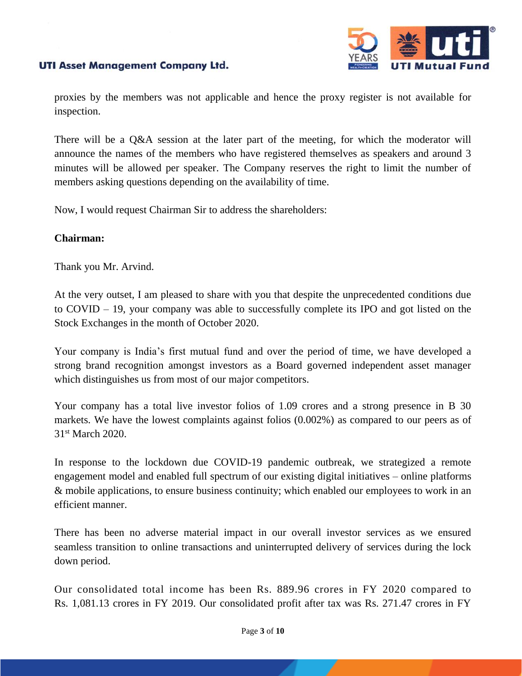

proxies by the members was not applicable and hence the proxy register is not available for inspection.

There will be a Q&A session at the later part of the meeting, for which the moderator will announce the names of the members who have registered themselves as speakers and around 3 minutes will be allowed per speaker. The Company reserves the right to limit the number of members asking questions depending on the availability of time.

Now, I would request Chairman Sir to address the shareholders:

#### **Chairman:**

Thank you Mr. Arvind.

At the very outset, I am pleased to share with you that despite the unprecedented conditions due to COVID – 19, your company was able to successfully complete its IPO and got listed on the Stock Exchanges in the month of October 2020.

Your company is India's first mutual fund and over the period of time, we have developed a strong brand recognition amongst investors as a Board governed independent asset manager which distinguishes us from most of our major competitors.

Your company has a total live investor folios of 1.09 crores and a strong presence in B 30 markets. We have the lowest complaints against folios (0.002%) as compared to our peers as of 31st March 2020.

In response to the lockdown due COVID-19 pandemic outbreak, we strategized a remote engagement model and enabled full spectrum of our existing digital initiatives – online platforms & mobile applications, to ensure business continuity; which enabled our employees to work in an efficient manner.

There has been no adverse material impact in our overall investor services as we ensured seamless transition to online transactions and uninterrupted delivery of services during the lock down period.

Our consolidated total income has been Rs. 889.96 crores in FY 2020 compared to Rs. 1,081.13 crores in FY 2019. Our consolidated profit after tax was Rs. 271.47 crores in FY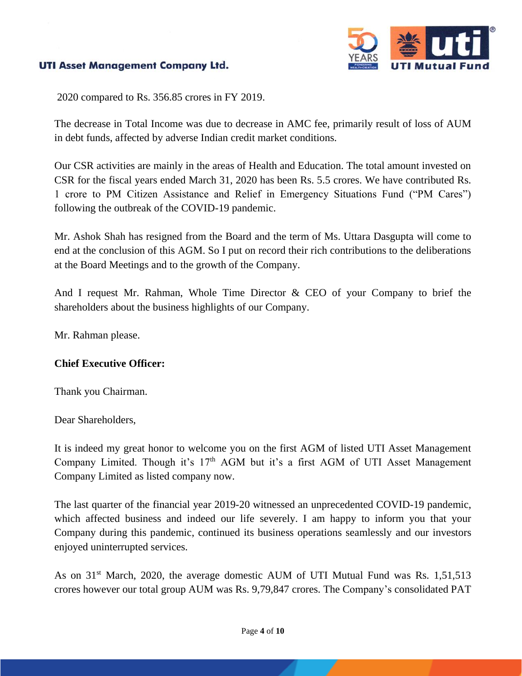

2020 compared to Rs. 356.85 crores in FY 2019.

The decrease in Total Income was due to decrease in AMC fee, primarily result of loss of AUM in debt funds, affected by adverse Indian credit market conditions.

Our CSR activities are mainly in the areas of Health and Education. The total amount invested on CSR for the fiscal years ended March 31, 2020 has been Rs. 5.5 crores. We have contributed Rs. 1 crore to PM Citizen Assistance and Relief in Emergency Situations Fund ("PM Cares") following the outbreak of the COVID-19 pandemic.

Mr. Ashok Shah has resigned from the Board and the term of Ms. Uttara Dasgupta will come to end at the conclusion of this AGM. So I put on record their rich contributions to the deliberations at the Board Meetings and to the growth of the Company.

And I request Mr. Rahman, Whole Time Director & CEO of your Company to brief the shareholders about the business highlights of our Company.

Mr. Rahman please.

## **Chief Executive Officer:**

Thank you Chairman.

Dear Shareholders,

It is indeed my great honor to welcome you on the first AGM of listed UTI Asset Management Company Limited. Though it's 17<sup>th</sup> AGM but it's a first AGM of UTI Asset Management Company Limited as listed company now.

The last quarter of the financial year 2019-20 witnessed an unprecedented COVID-19 pandemic, which affected business and indeed our life severely. I am happy to inform you that your Company during this pandemic, continued its business operations seamlessly and our investors enjoyed uninterrupted services.

As on 31<sup>st</sup> March, 2020, the average domestic AUM of UTI Mutual Fund was Rs. 1,51,513 crores however our total group AUM was Rs. 9,79,847 crores. The Company's consolidated PAT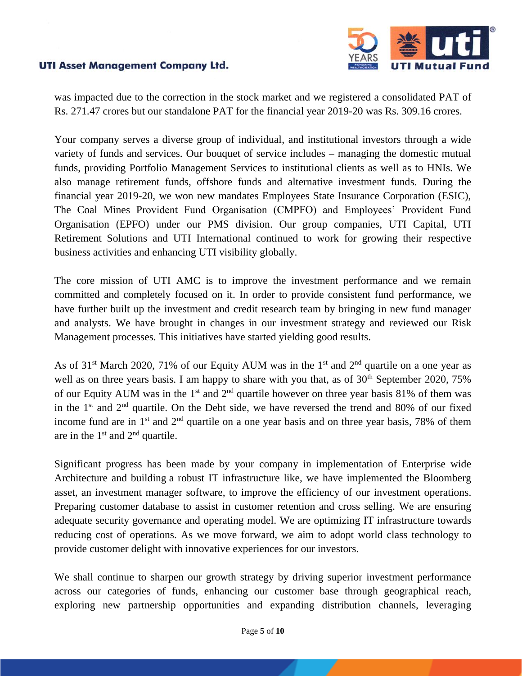

was impacted due to the correction in the stock market and we registered a consolidated PAT of Rs. 271.47 crores but our standalone PAT for the financial year 2019-20 was Rs. 309.16 crores.

Your company serves a diverse group of individual, and institutional investors through a wide variety of funds and services. Our bouquet of service includes – managing the domestic mutual funds, providing Portfolio Management Services to institutional clients as well as to HNIs. We also manage retirement funds, offshore funds and alternative investment funds. During the financial year 2019-20, we won new mandates Employees State Insurance Corporation (ESIC), The Coal Mines Provident Fund Organisation (CMPFO) and Employees' Provident Fund Organisation (EPFO) under our PMS division. Our group companies, UTI Capital, UTI Retirement Solutions and UTI International continued to work for growing their respective business activities and enhancing UTI visibility globally.

The core mission of UTI AMC is to improve the investment performance and we remain committed and completely focused on it. In order to provide consistent fund performance, we have further built up the investment and credit research team by bringing in new fund manager and analysts. We have brought in changes in our investment strategy and reviewed our Risk Management processes. This initiatives have started yielding good results.

As of  $31<sup>st</sup>$  March 2020, 71% of our Equity AUM was in the 1<sup>st</sup> and  $2<sup>nd</sup>$  quartile on a one year as well as on three years basis. I am happy to share with you that, as of  $30<sup>th</sup>$  September 2020, 75% of our Equity AUM was in the 1<sup>st</sup> and  $2<sup>nd</sup>$  quartile however on three year basis 81% of them was in the  $1<sup>st</sup>$  and  $2<sup>nd</sup>$  quartile. On the Debt side, we have reversed the trend and 80% of our fixed income fund are in  $1<sup>st</sup>$  and  $2<sup>nd</sup>$  quartile on a one year basis and on three year basis, 78% of them are in the  $1<sup>st</sup>$  and  $2<sup>nd</sup>$  quartile.

Significant progress has been made by your company in implementation of Enterprise wide Architecture and building a robust IT infrastructure like, we have implemented the Bloomberg asset, an investment manager software, to improve the efficiency of our investment operations. Preparing customer database to assist in customer retention and cross selling. We are ensuring adequate security governance and operating model. We are optimizing IT infrastructure towards reducing cost of operations. As we move forward, we aim to adopt world class technology to provide customer delight with innovative experiences for our investors.

We shall continue to sharpen our growth strategy by driving superior investment performance across our categories of funds, enhancing our customer base through geographical reach, exploring new partnership opportunities and expanding distribution channels, leveraging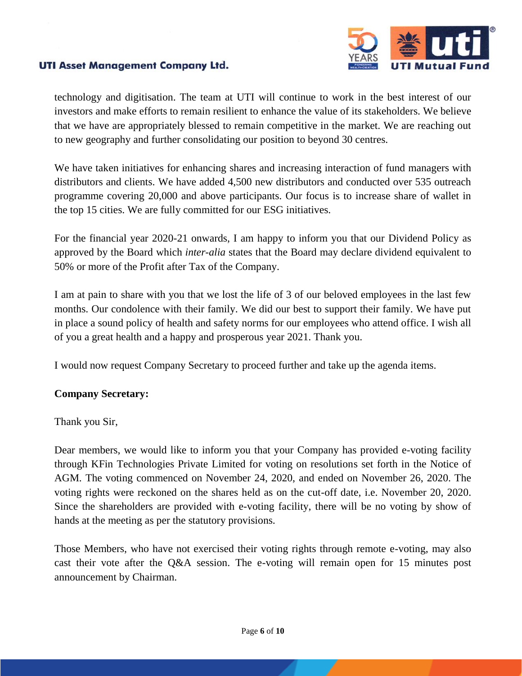

technology and digitisation. The team at UTI will continue to work in the best interest of our investors and make efforts to remain resilient to enhance the value of its stakeholders. We believe that we have are appropriately blessed to remain competitive in the market. We are reaching out to new geography and further consolidating our position to beyond 30 centres.

We have taken initiatives for enhancing shares and increasing interaction of fund managers with distributors and clients. We have added 4,500 new distributors and conducted over 535 outreach programme covering 20,000 and above participants. Our focus is to increase share of wallet in the top 15 cities. We are fully committed for our ESG initiatives.

For the financial year 2020-21 onwards, I am happy to inform you that our Dividend Policy as approved by the Board which *inter-alia* states that the Board may declare dividend equivalent to 50% or more of the Profit after Tax of the Company.

I am at pain to share with you that we lost the life of 3 of our beloved employees in the last few months. Our condolence with their family. We did our best to support their family. We have put in place a sound policy of health and safety norms for our employees who attend office. I wish all of you a great health and a happy and prosperous year 2021. Thank you.

I would now request Company Secretary to proceed further and take up the agenda items.

## **Company Secretary:**

Thank you Sir,

Dear members, we would like to inform you that your Company has provided e-voting facility through KFin Technologies Private Limited for voting on resolutions set forth in the Notice of AGM. The voting commenced on November 24, 2020, and ended on November 26, 2020. The voting rights were reckoned on the shares held as on the cut-off date, i.e. November 20, 2020. Since the shareholders are provided with e-voting facility, there will be no voting by show of hands at the meeting as per the statutory provisions.

Those Members, who have not exercised their voting rights through remote e-voting, may also cast their vote after the Q&A session. The e-voting will remain open for 15 minutes post announcement by Chairman.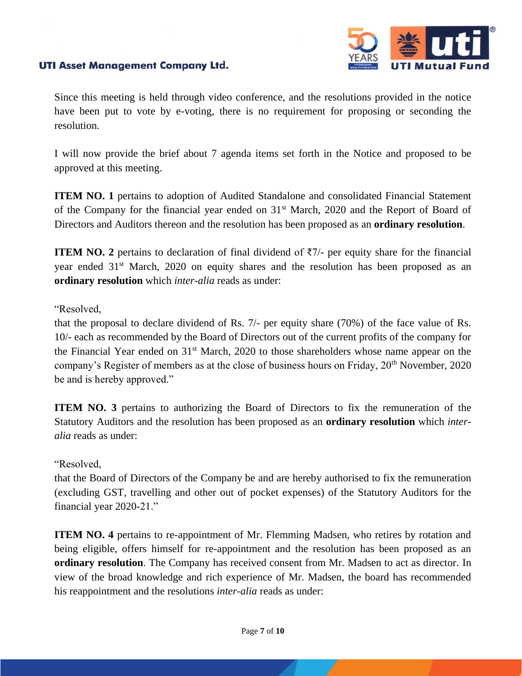

Since this meeting is held through video conference, and the resolutions provided in the notice have been put to vote by e-voting, there is no requirement for proposing or seconding the resolution.

I will now provide the brief about 7 agenda items set forth in the Notice and proposed to be approved at this meeting.

**ITEM NO. 1** pertains to adoption of Audited Standalone and consolidated Financial Statement of the Company for the financial year ended on 31st March, 2020 and the Report of Board of Directors and Auditors thereon and the resolution has been proposed as an **ordinary resolution**.

**ITEM NO.** 2 pertains to declaration of final dividend of  $\overline{z}$ 7/- per equity share for the financial year ended 31<sup>st</sup> March, 2020 on equity shares and the resolution has been proposed as an **ordinary resolution** which *inter-alia* reads as under:

#### "Resolved,

that the proposal to declare dividend of Rs. 7/- per equity share (70%) of the face value of Rs. 10/- each as recommended by the Board of Directors out of the current profits of the company for the Financial Year ended on 31st March, 2020 to those shareholders whose name appear on the company's Register of members as at the close of business hours on Friday, 20<sup>th</sup> November, 2020 be and is hereby approved."

**ITEM NO. 3** pertains to authorizing the Board of Directors to fix the remuneration of the Statutory Auditors and the resolution has been proposed as an **ordinary resolution** which *interalia* reads as under:

## "Resolved,

that the Board of Directors of the Company be and are hereby authorised to fix the remuneration (excluding GST, travelling and other out of pocket expenses) of the Statutory Auditors for the financial year 2020-21."

**ITEM NO. 4** pertains to re-appointment of Mr. Flemming Madsen, who retires by rotation and being eligible, offers himself for re-appointment and the resolution has been proposed as an **ordinary resolution**. The Company has received consent from Mr. Madsen to act as director. In view of the broad knowledge and rich experience of Mr. Madsen, the board has recommended his reappointment and the resolutions *inter-alia* reads as under: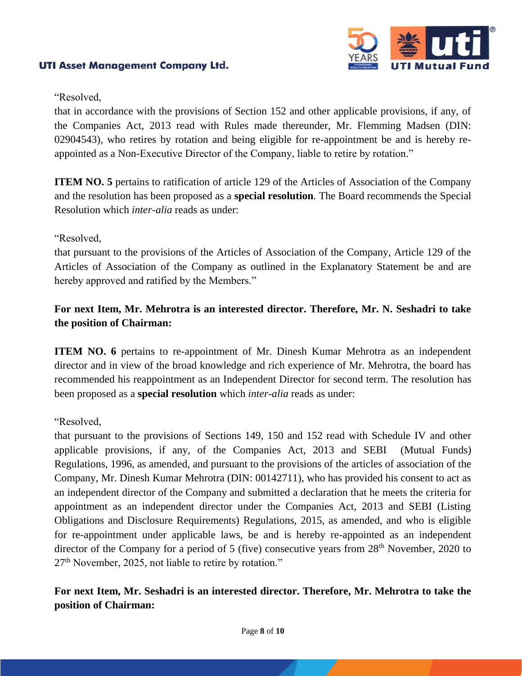

#### "Resolved,

that in accordance with the provisions of Section 152 and other applicable provisions, if any, of the Companies Act, 2013 read with Rules made thereunder, Mr. Flemming Madsen (DIN: 02904543), who retires by rotation and being eligible for re-appointment be and is hereby reappointed as a Non-Executive Director of the Company, liable to retire by rotation."

**ITEM NO. 5** pertains to ratification of article 129 of the Articles of Association of the Company and the resolution has been proposed as a **special resolution**. The Board recommends the Special Resolution which *inter-alia* reads as under:

#### "Resolved,

that pursuant to the provisions of the Articles of Association of the Company, Article 129 of the Articles of Association of the Company as outlined in the Explanatory Statement be and are hereby approved and ratified by the Members."

# **For next Item, Mr. Mehrotra is an interested director. Therefore, Mr. N. Seshadri to take the position of Chairman:**

**ITEM NO.** 6 pertains to re-appointment of Mr. Dinesh Kumar Mehrotra as an independent director and in view of the broad knowledge and rich experience of Mr. Mehrotra, the board has recommended his reappointment as an Independent Director for second term. The resolution has been proposed as a **special resolution** which *inter-alia* reads as under:

## "Resolved,

that pursuant to the provisions of Sections 149, 150 and 152 read with Schedule IV and other applicable provisions, if any, of the Companies Act, 2013 and SEBI (Mutual Funds) Regulations, 1996, as amended, and pursuant to the provisions of the articles of association of the Company, Mr. Dinesh Kumar Mehrotra (DIN: 00142711), who has provided his consent to act as an independent director of the Company and submitted a declaration that he meets the criteria for appointment as an independent director under the Companies Act, 2013 and SEBI (Listing Obligations and Disclosure Requirements) Regulations, 2015, as amended, and who is eligible for re-appointment under applicable laws, be and is hereby re-appointed as an independent director of the Company for a period of 5 (five) consecutive years from 28<sup>th</sup> November, 2020 to 27<sup>th</sup> November, 2025, not liable to retire by rotation."

# **For next Item, Mr. Seshadri is an interested director. Therefore, Mr. Mehrotra to take the position of Chairman:**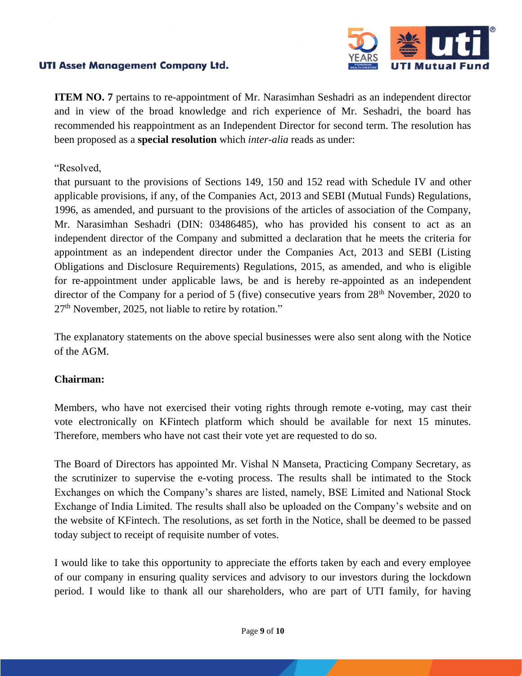

**ITEM NO. 7** pertains to re-appointment of Mr. Narasimhan Seshadri as an independent director and in view of the broad knowledge and rich experience of Mr. Seshadri, the board has recommended his reappointment as an Independent Director for second term. The resolution has been proposed as a **special resolution** which *inter-alia* reads as under:

#### "Resolved,

that pursuant to the provisions of Sections 149, 150 and 152 read with Schedule IV and other applicable provisions, if any, of the Companies Act, 2013 and SEBI (Mutual Funds) Regulations, 1996, as amended, and pursuant to the provisions of the articles of association of the Company, Mr. Narasimhan Seshadri (DIN: 03486485), who has provided his consent to act as an independent director of the Company and submitted a declaration that he meets the criteria for appointment as an independent director under the Companies Act, 2013 and SEBI (Listing Obligations and Disclosure Requirements) Regulations, 2015, as amended, and who is eligible for re-appointment under applicable laws, be and is hereby re-appointed as an independent director of the Company for a period of 5 (five) consecutive years from 28<sup>th</sup> November, 2020 to 27<sup>th</sup> November, 2025, not liable to retire by rotation."

The explanatory statements on the above special businesses were also sent along with the Notice of the AGM.

## **Chairman:**

Members, who have not exercised their voting rights through remote e-voting, may cast their vote electronically on KFintech platform which should be available for next 15 minutes. Therefore, members who have not cast their vote yet are requested to do so.

The Board of Directors has appointed Mr. Vishal N Manseta, Practicing Company Secretary, as the scrutinizer to supervise the e-voting process. The results shall be intimated to the Stock Exchanges on which the Company's shares are listed, namely, BSE Limited and National Stock Exchange of India Limited. The results shall also be uploaded on the Company's website and on the website of KFintech. The resolutions, as set forth in the Notice, shall be deemed to be passed today subject to receipt of requisite number of votes.

I would like to take this opportunity to appreciate the efforts taken by each and every employee of our company in ensuring quality services and advisory to our investors during the lockdown period. I would like to thank all our shareholders, who are part of UTI family, for having